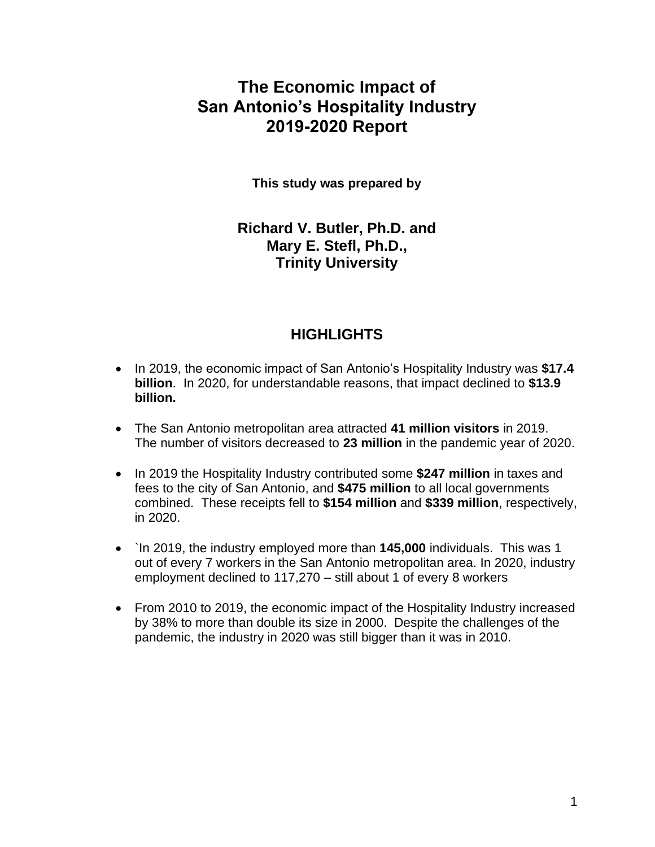## **The Economic Impact of San Antonio's Hospitality Industry 2019-2020 Report**

**This study was prepared by** 

**Richard V. Butler, Ph.D. and Mary E. Stefl, Ph.D., Trinity University** 

### **HIGHLIGHTS**

- In 2019, the economic impact of San Antonio's Hospitality Industry was **\$17.4 billion**. In 2020, for understandable reasons, that impact declined to **\$13.9 billion.**
- The San Antonio metropolitan area attracted **41 million visitors** in 2019. The number of visitors decreased to **23 million** in the pandemic year of 2020.
- In 2019 the Hospitality Industry contributed some **\$247 million** in taxes and fees to the city of San Antonio, and **\$475 million** to all local governments combined. These receipts fell to **\$154 million** and **\$339 million**, respectively, in 2020.
- `In 2019, the industry employed more than **145,000** individuals. This was 1 out of every 7 workers in the San Antonio metropolitan area. In 2020, industry employment declined to 117,270 – still about 1 of every 8 workers
- From 2010 to 2019, the economic impact of the Hospitality Industry increased by 38% to more than double its size in 2000. Despite the challenges of the pandemic, the industry in 2020 was still bigger than it was in 2010.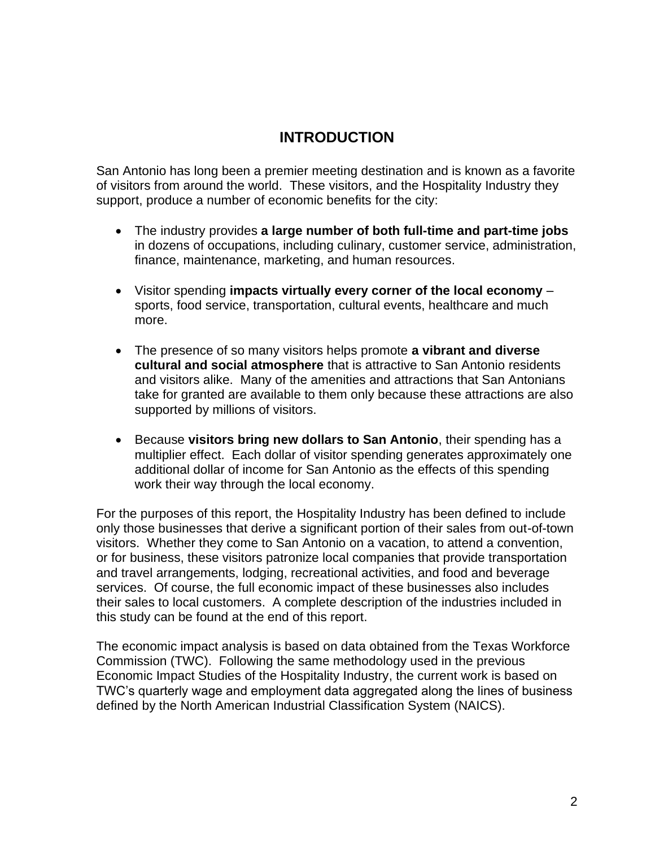## **INTRODUCTION**

San Antonio has long been a premier meeting destination and is known as a favorite of visitors from around the world. These visitors, and the Hospitality Industry they support, produce a number of economic benefits for the city:

- The industry provides **a large number of both full-time and part-time jobs** in dozens of occupations, including culinary, customer service, administration, finance, maintenance, marketing, and human resources.
- Visitor spending **impacts virtually every corner of the local economy** sports, food service, transportation, cultural events, healthcare and much more.
- The presence of so many visitors helps promote **a vibrant and diverse cultural and social atmosphere** that is attractive to San Antonio residents and visitors alike. Many of the amenities and attractions that San Antonians take for granted are available to them only because these attractions are also supported by millions of visitors.
- Because **visitors bring new dollars to San Antonio**, their spending has a multiplier effect. Each dollar of visitor spending generates approximately one additional dollar of income for San Antonio as the effects of this spending work their way through the local economy.

For the purposes of this report, the Hospitality Industry has been defined to include only those businesses that derive a significant portion of their sales from out-of-town visitors. Whether they come to San Antonio on a vacation, to attend a convention, or for business, these visitors patronize local companies that provide transportation and travel arrangements, lodging, recreational activities, and food and beverage services. Of course, the full economic impact of these businesses also includes their sales to local customers. A complete description of the industries included in this study can be found at the end of this report.

The economic impact analysis is based on data obtained from the Texas Workforce Commission (TWC). Following the same methodology used in the previous Economic Impact Studies of the Hospitality Industry, the current work is based on TWC's quarterly wage and employment data aggregated along the lines of business defined by the North American Industrial Classification System (NAICS).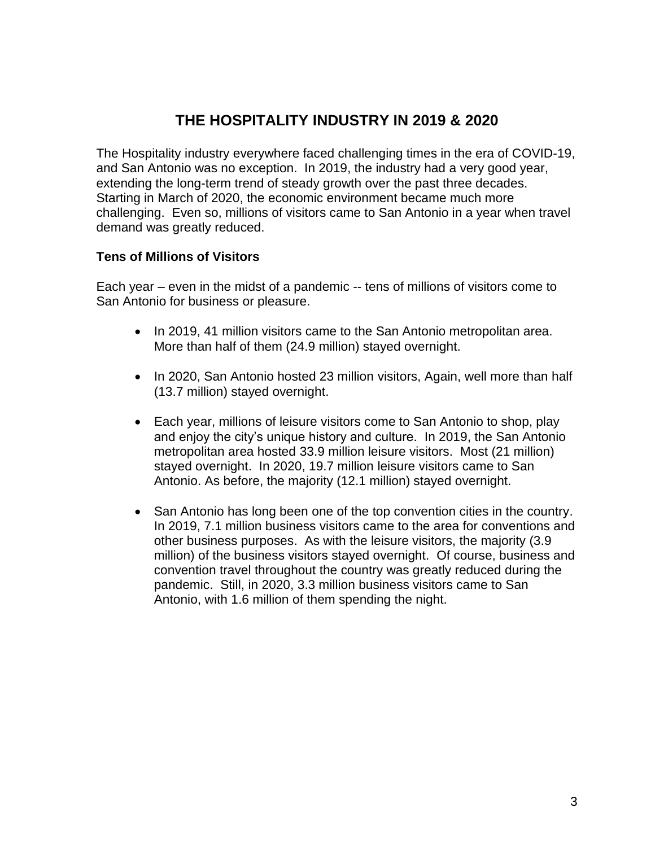## **THE HOSPITALITY INDUSTRY IN 2019 & 2020**

The Hospitality industry everywhere faced challenging times in the era of COVID-19, and San Antonio was no exception. In 2019, the industry had a very good year, extending the long-term trend of steady growth over the past three decades. Starting in March of 2020, the economic environment became much more challenging. Even so, millions of visitors came to San Antonio in a year when travel demand was greatly reduced.

#### **Tens of Millions of Visitors**

Each year – even in the midst of a pandemic -- tens of millions of visitors come to San Antonio for business or pleasure.

- In 2019, 41 million visitors came to the San Antonio metropolitan area. More than half of them (24.9 million) stayed overnight.
- In 2020, San Antonio hosted 23 million visitors, Again, well more than half (13.7 million) stayed overnight.
- Each year, millions of leisure visitors come to San Antonio to shop, play and enjoy the city's unique history and culture. In 2019, the San Antonio metropolitan area hosted 33.9 million leisure visitors. Most (21 million) stayed overnight. In 2020, 19.7 million leisure visitors came to San Antonio. As before, the majority (12.1 million) stayed overnight.
- San Antonio has long been one of the top convention cities in the country. In 2019, 7.1 million business visitors came to the area for conventions and other business purposes. As with the leisure visitors, the majority (3.9 million) of the business visitors stayed overnight. Of course, business and convention travel throughout the country was greatly reduced during the pandemic. Still, in 2020, 3.3 million business visitors came to San Antonio, with 1.6 million of them spending the night.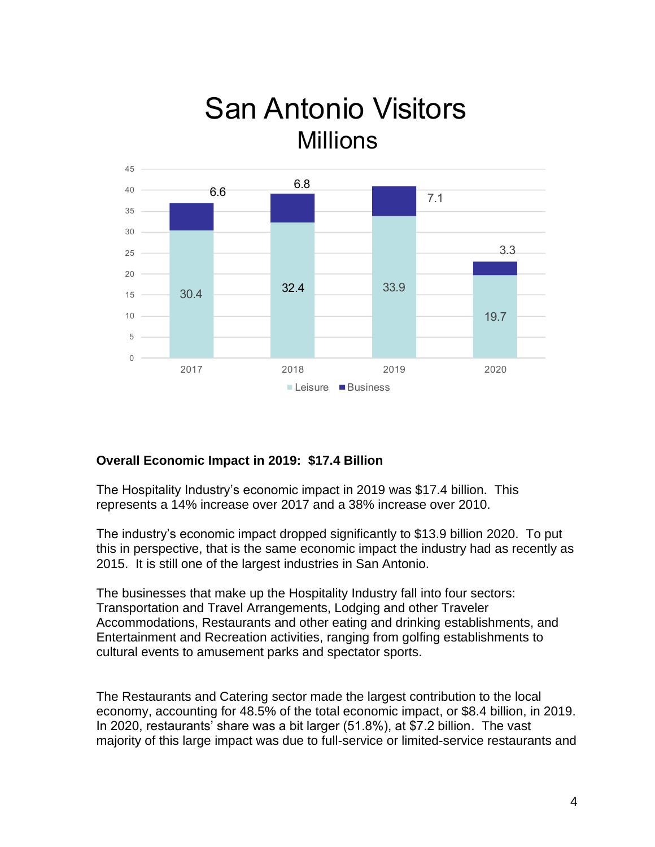## **San Antonio Visitors** Millions  $30.4$ 33.9 7.1 3.3 66  $32.4$ 6.8



### **Overall Economic Impact in 2019: \$17.4 Billion**

20 25 30

35 40 5

The Hospitality Industry's economic impact in 2019 was \$17.4 billion. This represents a 14% increase over 2017 and a 38% increase over 2010.

The industry's economic impact dropped significantly to \$13.9 billion 2020. To put this in perspective, that is the same economic impact the industry had as recently as 2015. It is still one of the largest industries in San Antonio.

The businesses that make up the Hospitality Industry fall into four sectors: Transportation and Travel Arrangements, Lodging and other Traveler Accommodations, Restaurants and other eating and drinking establishments, and Entertainment and Recreation activities, ranging from golfing establishments to cultural events to amusement parks and spectator sports.

The Restaurants and Catering sector made the largest contribution to the local economy, accounting for 48.5% of the total economic impact, or \$8.4 billion, in 2019. In 2020, restaurants' share was a bit larger (51.8%), at \$7.2 billion. The vast majority of this large impact was due to full-service or limited-service restaurants and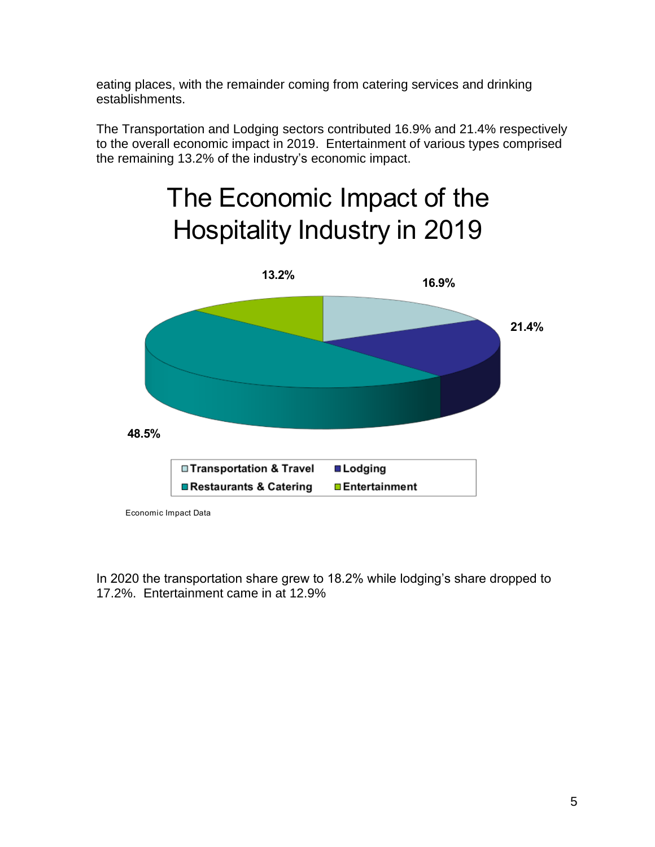eating places, with the remainder coming from catering services and drinking establishments.

The Transportation and Lodging sectors contributed 16.9% and 21.4% respectively to the overall economic impact in 2019. Entertainment of various types comprised the remaining 13.2% of the industry's economic impact.

# The Economic Impact of the Hospitality Industry in 201



Economic Impact Data

In 2020 the transportation share grew to 18.2% while lodging's share dropped to 17.2%. Entertainment came in at 12.9%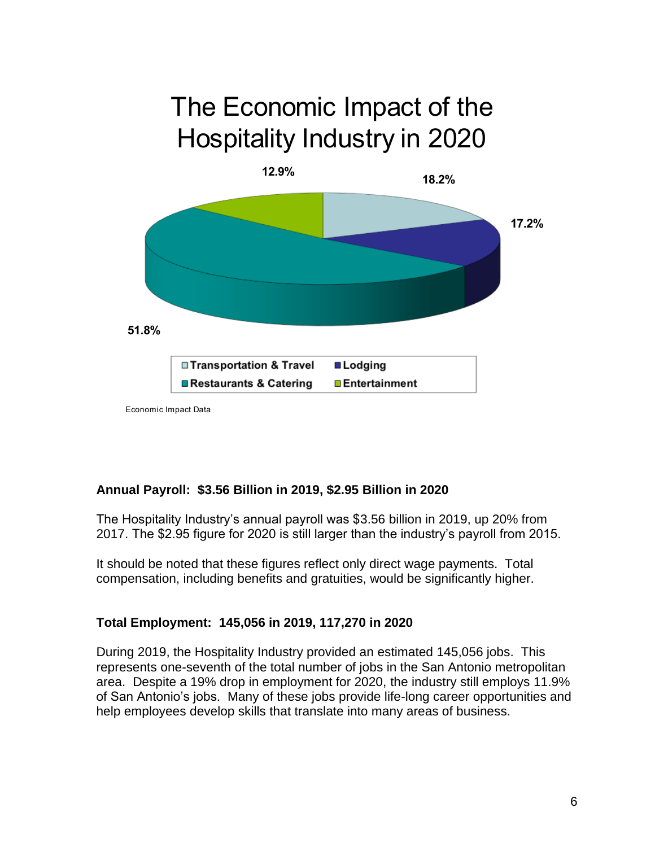# The Economic Impact of the Hospitality Industry in 2020



Economic Impact Data

### **Annual Payroll: \$3.56 Billion in 2019, \$2.95 Billion in 2020**

The Hospitality Industry's annual payroll was \$3.56 billion in 2019, up 20% from 2017. The \$2.95 figure for 2020 is still larger than the industry's payroll from 2015.

It should be noted that these figures reflect only direct wage payments. Total compensation, including benefits and gratuities, would be significantly higher.

### **Total Employment: 145,056 in 2019, 117,270 in 2020**

During 2019, the Hospitality Industry provided an estimated 145,056 jobs. This represents one-seventh of the total number of jobs in the San Antonio metropolitan area. Despite a 19% drop in employment for 2020, the industry still employs 11.9% of San Antonio's jobs. Many of these jobs provide life-long career opportunities and help employees develop skills that translate into many areas of business.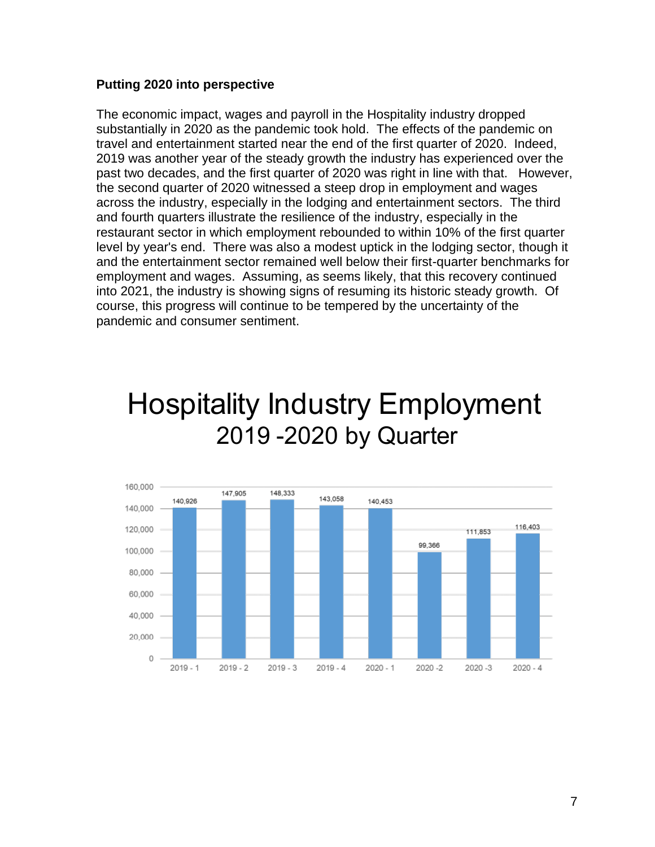#### **Putting 2020 into perspective**

The economic impact, wages and payroll in the Hospitality industry dropped substantially in 2020 as the pandemic took hold. The effects of the pandemic on travel and entertainment started near the end of the first quarter of 2020. Indeed, 2019 was another year of the steady growth the industry has experienced over the past two decades, and the first quarter of 2020 was right in line with that. However, the second quarter of 2020 witnessed a steep drop in employment and wages across the industry, especially in the lodging and entertainment sectors. The third and fourth quarters illustrate the resilience of the industry, especially in the restaurant sector in which employment rebounded to within 10% of the first quarter level by year's end. There was also a modest uptick in the lodging sector, though it and the entertainment sector remained well below their first-quarter benchmarks for employment and wages. Assuming, as seems likely, that this recovery continued into 2021, the industry is showing signs of resuming its historic steady growth. Of course, this progress will continue to be tempered by the uncertainty of the pandemic and consumer sentiment.

# Hospitality Industry Employment 2019 - 2020 by Quarter

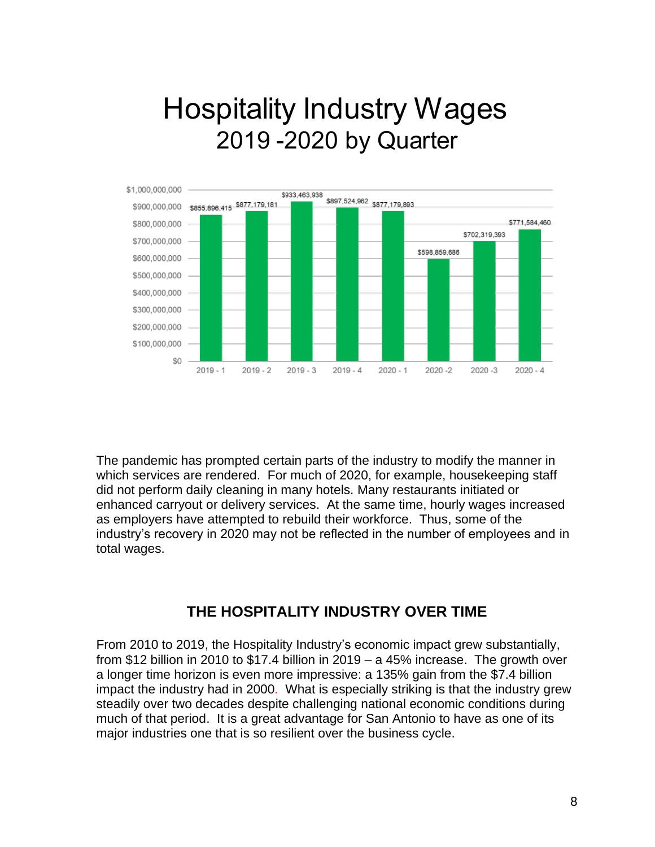# Hospitality Industry Wages 2019 - 2020 by Quarter



The pandemic has prompted certain parts of the industry to modify the manner in which services are rendered. For much of 2020, for example, housekeeping staff did not perform daily cleaning in many hotels. Many restaurants initiated or enhanced carryout or delivery services. At the same time, hourly wages increased as employers have attempted to rebuild their workforce. Thus, some of the industry's recovery in 2020 may not be reflected in the number of employees and in total wages.

### **THE HOSPITALITY INDUSTRY OVER TIME**

From 2010 to 2019, the Hospitality Industry's economic impact grew substantially, from \$12 billion in 2010 to \$17.4 billion in 2019 – a 45% increase. The growth over a longer time horizon is even more impressive: a 135% gain from the \$7.4 billion impact the industry had in 2000. What is especially striking is that the industry grew steadily over two decades despite challenging national economic conditions during much of that period. It is a great advantage for San Antonio to have as one of its major industries one that is so resilient over the business cycle.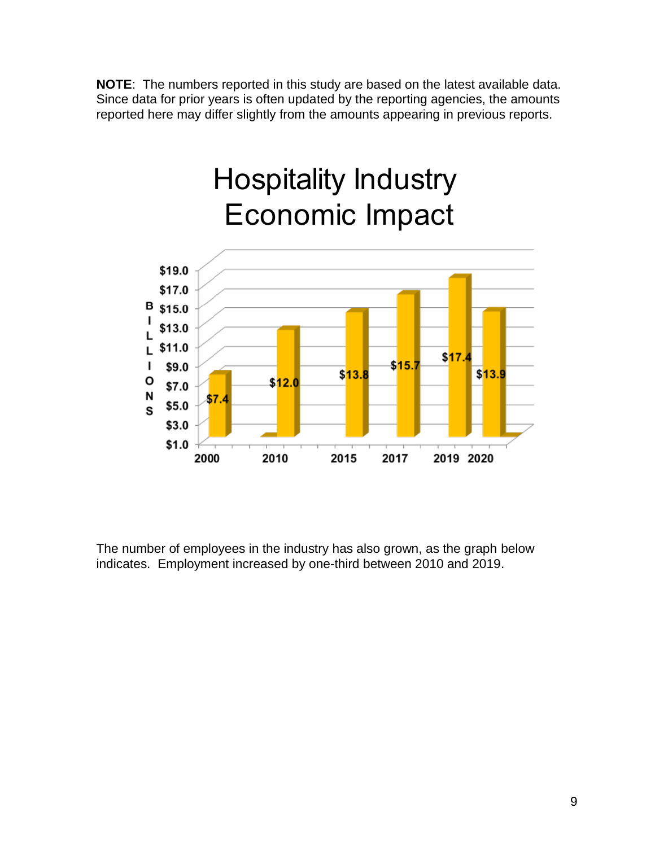**NOTE**: The numbers reported in this study are based on the latest available data. Since data for prior years is often updated by the reporting agencies, the amounts reported here may differ slightly from the amounts appearing in previous reports.



The number of employees in the industry has also grown, as the graph below indicates. Employment increased by one-third between 2010 and 2019.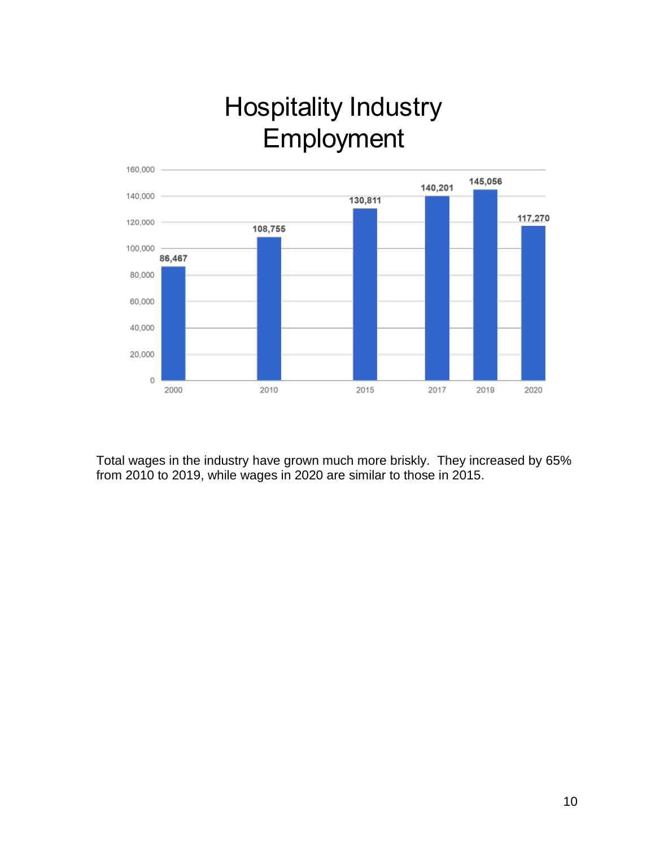# Hospitality Industry **Employment**



Total wages in the industry have grown much more briskly. They increased by 65% from 2010 to 2019, while wages in 2020 are similar to those in 2015.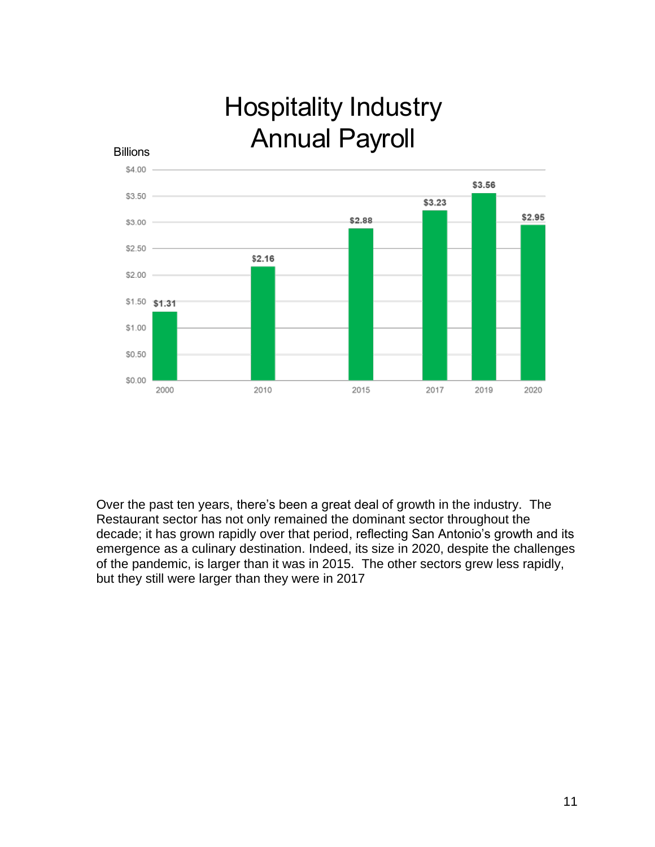# Hospitality Industry Billions **Annual Payroll**



Over the past ten years, there's been a great deal of growth in the industry. The Restaurant sector has not only remained the dominant sector throughout the decade; it has grown rapidly over that period, reflecting San Antonio's growth and its emergence as a culinary destination. Indeed, its size in 2020, despite the challenges of the pandemic, is larger than it was in 2015. The other sectors grew less rapidly, but they still were larger than they were in 2017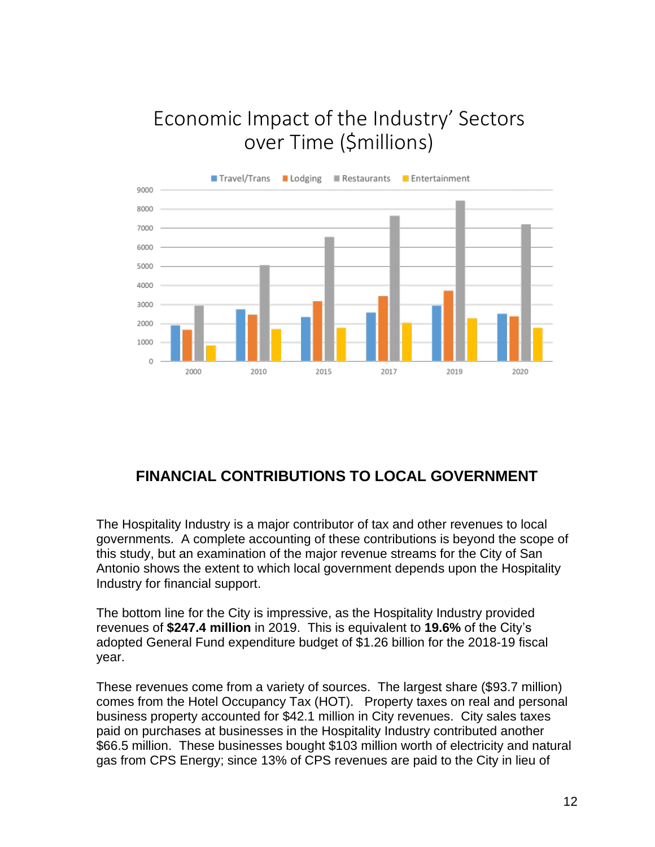## Economic Impact of the Industry' Sectors over Time (\$millions)



## **FINANCIAL CONTRIBUTIONS TO LOCAL GOVERNMENT**

The Hospitality Industry is a major contributor of tax and other revenues to local governments. A complete accounting of these contributions is beyond the scope of this study, but an examination of the major revenue streams for the City of San Antonio shows the extent to which local government depends upon the Hospitality Industry for financial support.

The bottom line for the City is impressive, as the Hospitality Industry provided revenues of **\$247.4 million** in 2019. This is equivalent to **19.6%** of the City's adopted General Fund expenditure budget of \$1.26 billion for the 2018-19 fiscal year.

These revenues come from a variety of sources. The largest share (\$93.7 million) comes from the Hotel Occupancy Tax (HOT). Property taxes on real and personal business property accounted for \$42.1 million in City revenues. City sales taxes paid on purchases at businesses in the Hospitality Industry contributed another \$66.5 million. These businesses bought \$103 million worth of electricity and natural gas from CPS Energy; since 13% of CPS revenues are paid to the City in lieu of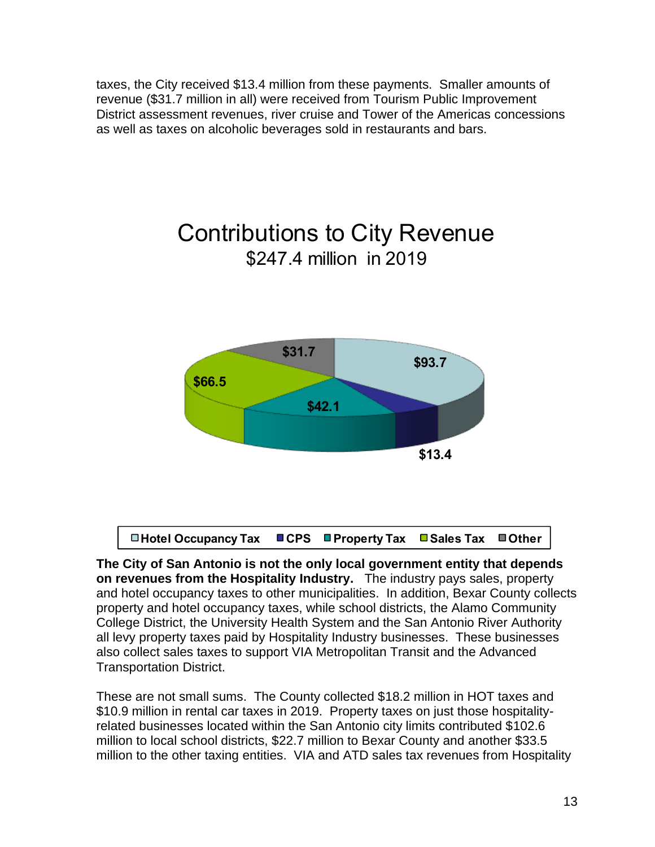taxes, the City received \$13.4 million from these payments. Smaller amounts of revenue (\$31.7 million in all) were received from Tourism Public Improvement District assessment revenues, river cruise and Tower of the Americas concessions as well as taxes on alcoholic beverages sold in restaurants and bars.

## Contributions to City Revenue \$247.4 million in 2019



**□Hotel Occupancy Tax ■CPS ■Property Tax ■Sales Tax ■Other** 

**The City of San Antonio is not the only local government entity that depends on revenues from the Hospitality Industry.** The industry pays sales, property and hotel occupancy taxes to other municipalities. In addition, Bexar County collects property and hotel occupancy taxes, while school districts, the Alamo Community College District, the University Health System and the San Antonio River Authority all levy property taxes paid by Hospitality Industry businesses. These businesses also collect sales taxes to support VIA Metropolitan Transit and the Advanced Transportation District.

These are not small sums. The County collected \$18.2 million in HOT taxes and \$10.9 million in rental car taxes in 2019. Property taxes on just those hospitalityrelated businesses located within the San Antonio city limits contributed \$102.6 million to local school districts, \$22.7 million to Bexar County and another \$33.5 million to the other taxing entities. VIA and ATD sales tax revenues from Hospitality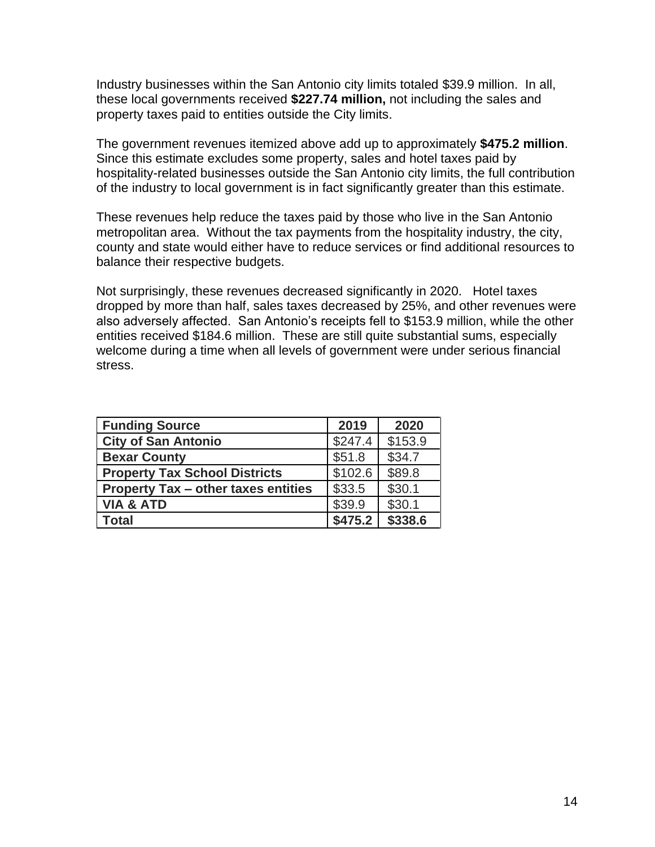Industry businesses within the San Antonio city limits totaled \$39.9 million. In all, these local governments received **\$227.74 million,** not including the sales and property taxes paid to entities outside the City limits.

The government revenues itemized above add up to approximately **\$475.2 million**. Since this estimate excludes some property, sales and hotel taxes paid by hospitality-related businesses outside the San Antonio city limits, the full contribution of the industry to local government is in fact significantly greater than this estimate.

These revenues help reduce the taxes paid by those who live in the San Antonio metropolitan area. Without the tax payments from the hospitality industry, the city, county and state would either have to reduce services or find additional resources to balance their respective budgets.

Not surprisingly, these revenues decreased significantly in 2020. Hotel taxes dropped by more than half, sales taxes decreased by 25%, and other revenues were also adversely affected. San Antonio's receipts fell to \$153.9 million, while the other entities received \$184.6 million. These are still quite substantial sums, especially welcome during a time when all levels of government were under serious financial stress.

| <b>Funding Source</b>                      | 2019    | 2020    |
|--------------------------------------------|---------|---------|
| <b>City of San Antonio</b>                 | \$247.4 | \$153.9 |
| <b>Bexar County</b>                        | \$51.8  | \$34.7  |
| <b>Property Tax School Districts</b>       | \$102.6 | \$89.8  |
| <b>Property Tax - other taxes entities</b> | \$33.5  | \$30.1  |
| <b>VIA &amp; ATD</b>                       | \$39.9  | \$30.1  |
| Total                                      | \$475.2 | \$338.6 |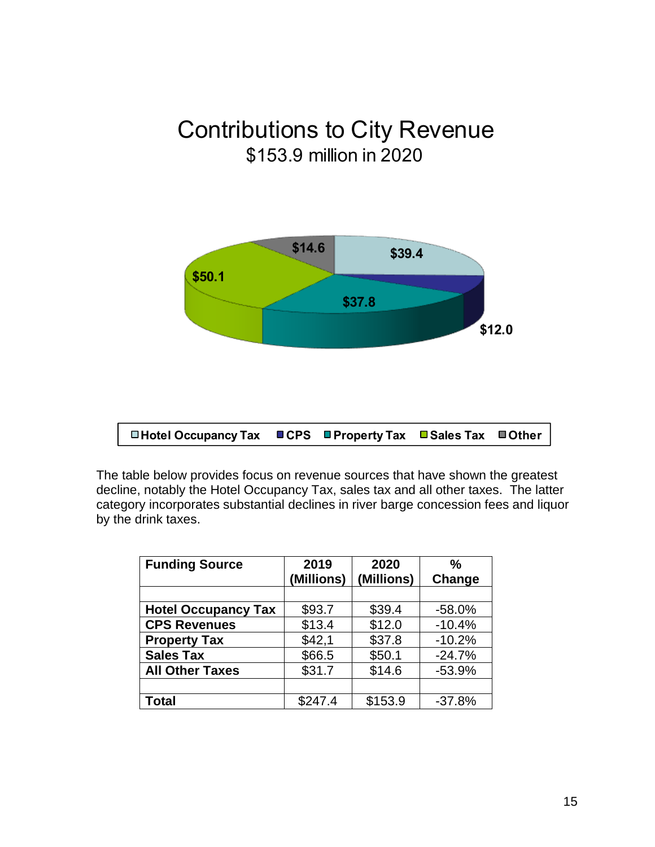## **Contributions to City Revenue** \$153.9 million in 2020



□ Hotel Occupancy Tax  $ICPS$  $\blacksquare$  Property Tax **□ Sales Tax** ■Other

The table below provides focus on revenue sources that have shown the greatest decline, notably the Hotel Occupancy Tax, sales tax and all other taxes. The latter category incorporates substantial declines in river barge concession fees and liquor by the drink taxes.

| <b>Funding Source</b>      | 2019       | 2020       | $\frac{0}{0}$ |
|----------------------------|------------|------------|---------------|
|                            | (Millions) | (Millions) | Change        |
|                            |            |            |               |
| <b>Hotel Occupancy Tax</b> | \$93.7     | \$39.4     | $-58.0%$      |
| <b>CPS Revenues</b>        | \$13.4     | \$12.0     | $-10.4%$      |
| <b>Property Tax</b>        | \$42,1     | \$37.8     | $-10.2%$      |
| <b>Sales Tax</b>           | \$66.5     | \$50.1     | $-24.7%$      |
| <b>All Other Taxes</b>     | \$31.7     | \$14.6     | $-53.9%$      |
|                            |            |            |               |
| <b>Total</b>               | \$247.4    | \$153.9    | $-37.8%$      |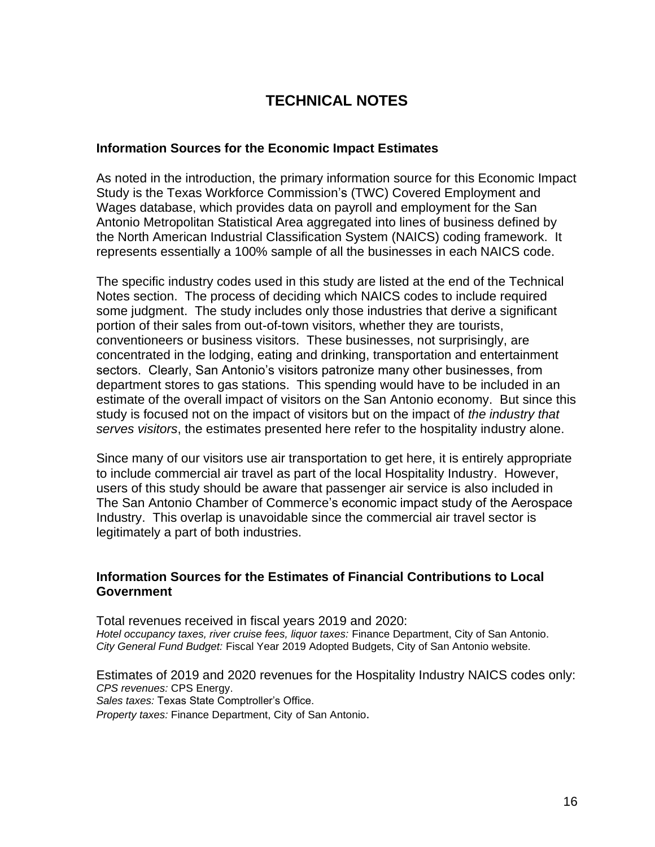## **TECHNICAL NOTES**

#### **Information Sources for the Economic Impact Estimates**

As noted in the introduction, the primary information source for this Economic Impact Study is the Texas Workforce Commission's (TWC) Covered Employment and Wages database, which provides data on payroll and employment for the San Antonio Metropolitan Statistical Area aggregated into lines of business defined by the North American Industrial Classification System (NAICS) coding framework. It represents essentially a 100% sample of all the businesses in each NAICS code.

The specific industry codes used in this study are listed at the end of the Technical Notes section. The process of deciding which NAICS codes to include required some judgment. The study includes only those industries that derive a significant portion of their sales from out-of-town visitors, whether they are tourists, conventioneers or business visitors. These businesses, not surprisingly, are concentrated in the lodging, eating and drinking, transportation and entertainment sectors. Clearly, San Antonio's visitors patronize many other businesses, from department stores to gas stations. This spending would have to be included in an estimate of the overall impact of visitors on the San Antonio economy. But since this study is focused not on the impact of visitors but on the impact of *the industry that serves visitors*, the estimates presented here refer to the hospitality industry alone.

Since many of our visitors use air transportation to get here, it is entirely appropriate to include commercial air travel as part of the local Hospitality Industry. However, users of this study should be aware that passenger air service is also included in The San Antonio Chamber of Commerce's economic impact study of the Aerospace Industry. This overlap is unavoidable since the commercial air travel sector is legitimately a part of both industries.

#### **Information Sources for the Estimates of Financial Contributions to Local Government**

Total revenues received in fiscal years 2019 and 2020: *Hotel occupancy taxes, river cruise fees, liquor taxes:* Finance Department, City of San Antonio. *City General Fund Budget:* Fiscal Year 2019 Adopted Budgets, City of San Antonio website.

Estimates of 2019 and 2020 revenues for the Hospitality Industry NAICS codes only: *CPS revenues:* CPS Energy. *Sales taxes:* Texas State Comptroller's Office. *Property taxes:* Finance Department, City of San Antonio.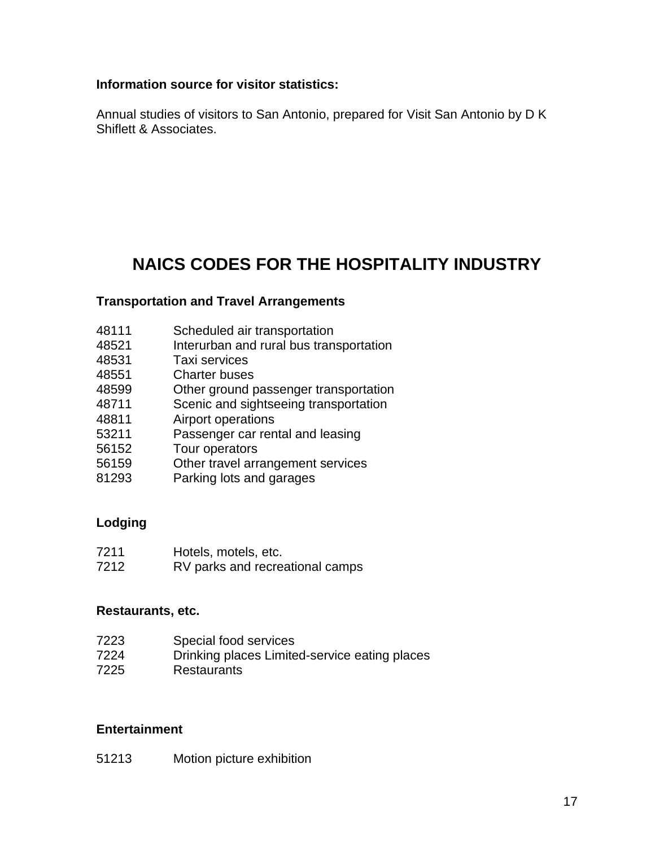#### **Information source for visitor statistics:**

Annual studies of visitors to San Antonio, prepared for Visit San Antonio by D K Shiflett & Associates.

## **NAICS CODES FOR THE HOSPITALITY INDUSTRY**

#### **Transportation and Travel Arrangements**

- Scheduled air transportation
- Interurban and rural bus transportation
- Taxi services
- Charter buses
- Other ground passenger transportation
- Scenic and sightseeing transportation
- Airport operations
- Passenger car rental and leasing
- Tour operators
- Other travel arrangement services
- 81293 Parking lots and garages

### **Lodging**

- Hotels, motels, etc.
- RV parks and recreational camps

#### **Restaurants, etc.**

| 7223 | Special food services                         |
|------|-----------------------------------------------|
| 7224 | Drinking places Limited-service eating places |
| 7225 | <b>Restaurants</b>                            |

#### **Entertainment**

Motion picture exhibition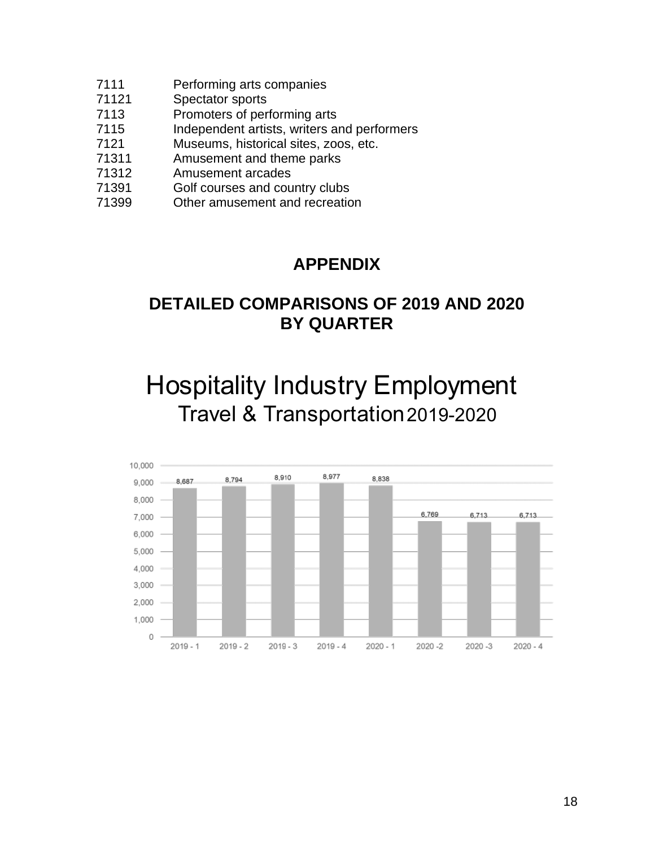- Performing arts companies
- Spectator sports
- Promoters of performing arts
- Independent artists, writers and performers
- Museums, historical sites, zoos, etc.
- Amusement and theme parks
- Amusement arcades
- Golf courses and country clubs
- Other amusement and recreation

## **APPENDIX**

## **DETAILED COMPARISONS OF 2019 AND 2020 BY QUARTER**

Hospitality Industry Employment Travel & Transportation 2019-2020

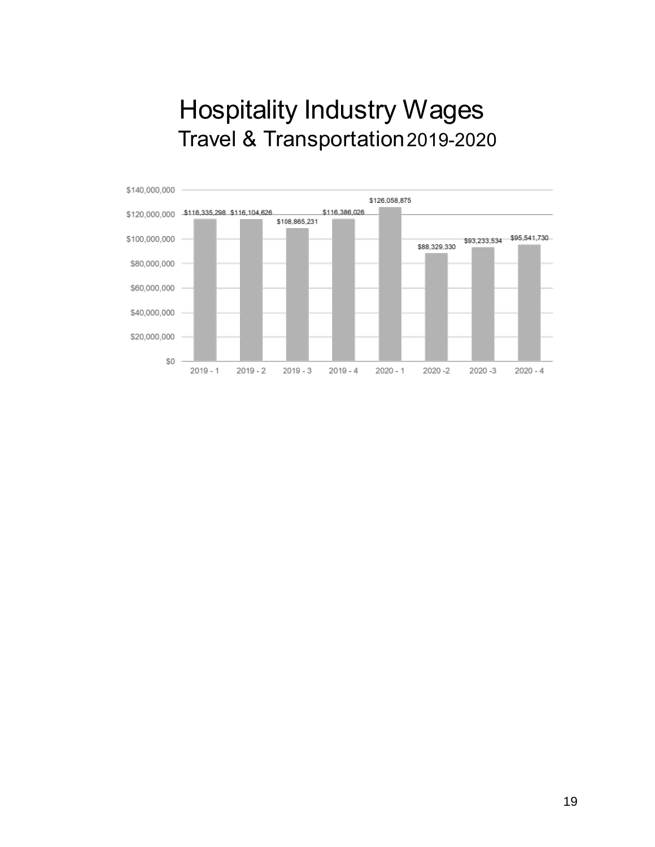## Hospitality Industry Wages Travel & Transportation 2019-2020

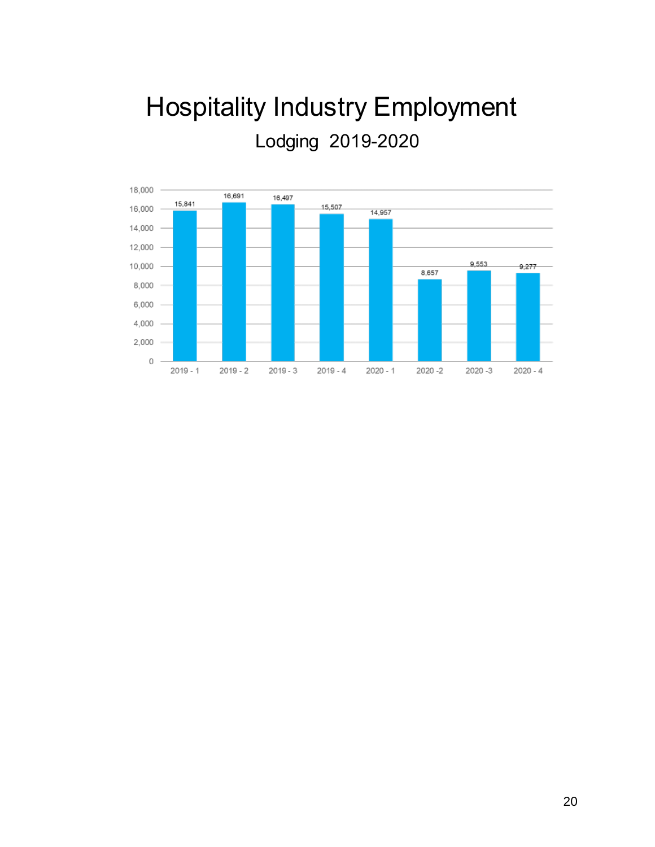# **Hospitality Industry Employment** Lodging 2019-2020

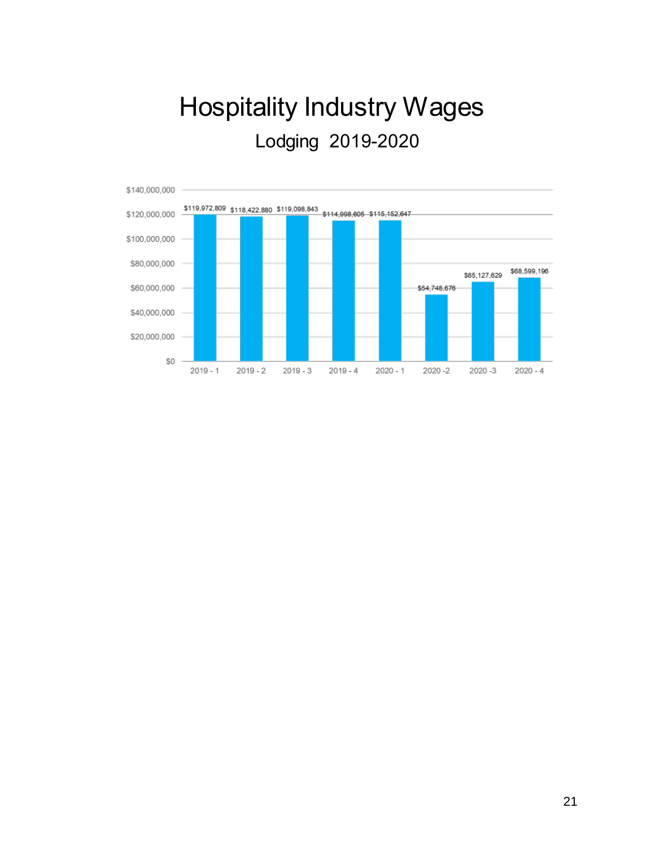# **Hospitality Industry Wages** Lodging 2019-2020

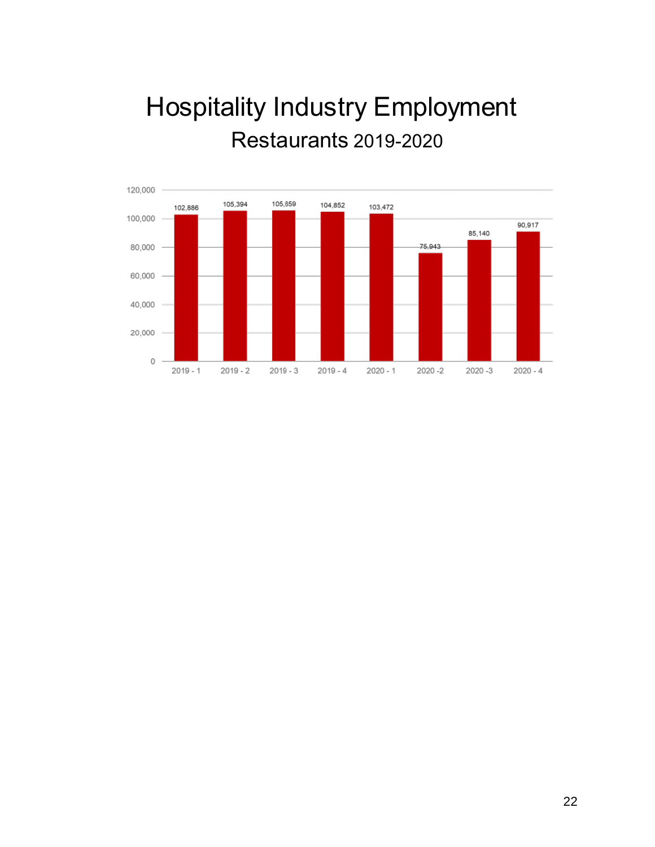# **Hospitality Industry Employment Restaurants 2019-2020**

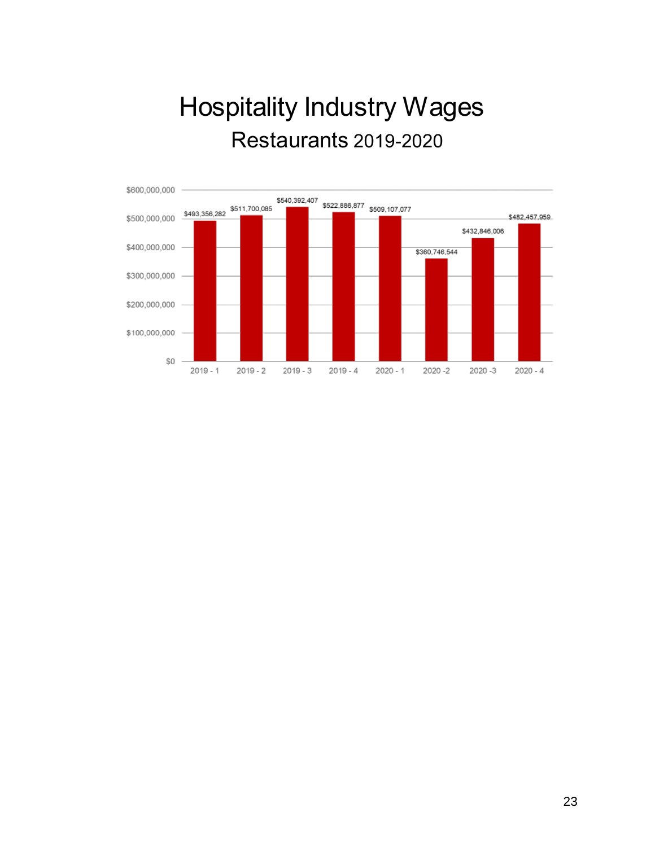# **Hospitality Industry Wages Restaurants 2019-2020**

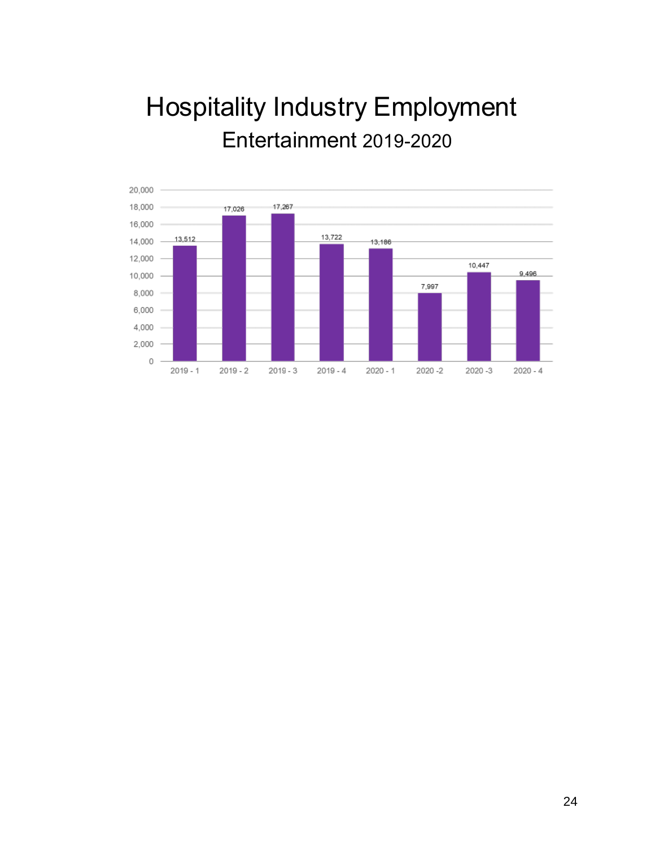# **Hospitality Industry Employment** Entertainment 2019-2020